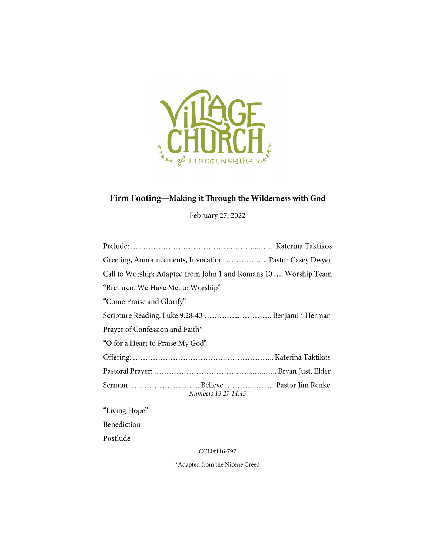

### Firm Footing-Making it Through the Wilderness with God

February 27, 2022

| Greeting, Announcements, Invocation:  Pastor Casey Dwyer         |                     |
|------------------------------------------------------------------|---------------------|
| Call to Worship: Adapted from John 1 and Romans 10  Worship Team |                     |
| "Brethren, We Have Met to Worship"                               |                     |
| "Come Praise and Glorify"                                        |                     |
| Scripture Reading: Luke 9:28-43  Benjamin Herman                 |                     |
| Prayer of Confession and Faith*                                  |                     |
| "O for a Heart to Praise My God"                                 |                     |
|                                                                  |                     |
|                                                                  |                     |
|                                                                  | Numbers 13:27-14:45 |
| "Living Hope"                                                    |                     |

Benediction

Postlude

#### CCLI#116-797

\*Adapted from the Nicene Creed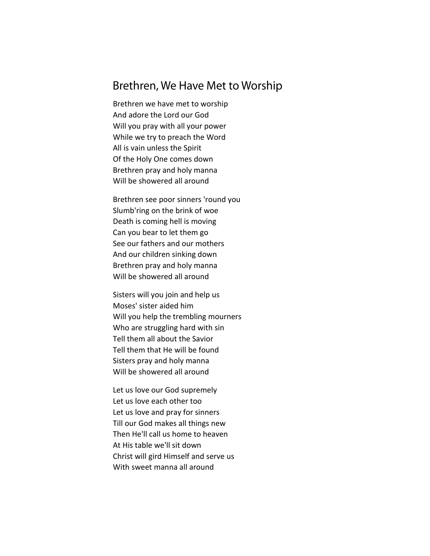### Brethren, We Have Met to Worship

Brethren we have met to worship And adore the Lord our God Will you pray with all your power While we try to preach the Word All is vain unless the Spirit Of the Holy One comes down Brethren pray and holy manna Will be showered all around

Brethren see poor sinners 'round you Slumb'ring on the brink of woe Death is coming hell is moving Can you bear to let them go See our fathers and our mothers And our children sinking down Brethren pray and holy manna Will be showered all around

Sisters will you join and help us Moses' sister aided him Will you help the trembling mourners Who are struggling hard with sin Tell them all about the Savior Tell them that He will be found Sisters pray and holy manna Will be showered all around

Let us love our God supremely Let us love each other too Let us love and pray for sinners Till our God makes all things new Then He'll call us home to heaven At His table we'll sit down Christ will gird Himself and serve us With sweet manna all around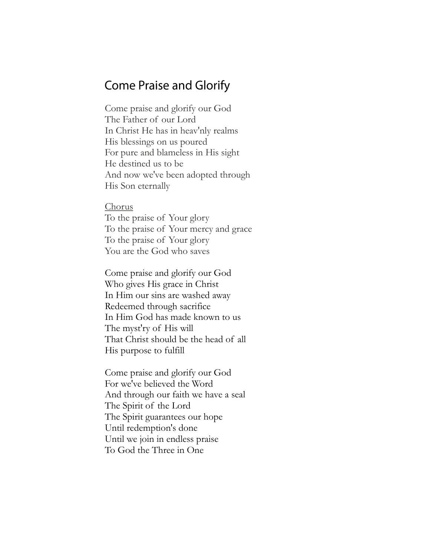# **Come Praise and Glorify**

Come praise and glorify our God The Father of our Lord In Christ He has in heav'nly realms His blessings on us poured For pure and blameless in His sight He destined us to be And now we've been adopted through His Son eternally

### Chorus

To the praise of Your glory To the praise of Your mercy and grace To the praise of Your glory You are the God who saves

Come praise and glorify our God Who gives His grace in Christ In Him our sins are washed away Redeemed through sacrifice In Him God has made known to us The myst'ry of His will That Christ should be the head of all His purpose to fulfill

Come praise and glorify our God For we've believed the Word And through our faith we have a seal The Spirit of the Lord The Spirit guarantees our hope Until redemption's done Until we join in endless praise To God the Three in One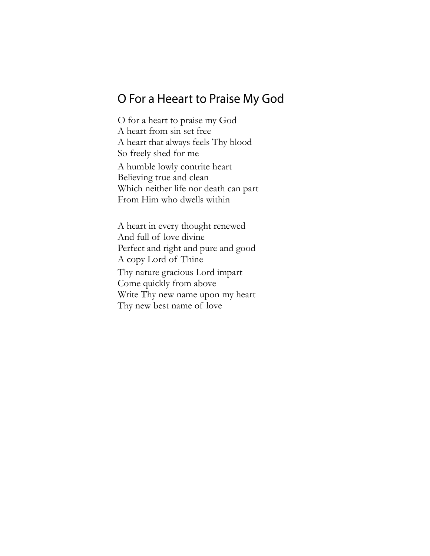# O For a Heeart to Praise My God

O for a heart to praise my God A heart from sin set free A heart that always feels Thy blood So freely shed for me A humble lowly contrite heart Believing true and clean Which neither life nor death can part From Him who dwells within

A heart in every thought renewed And full of love divine Perfect and right and pure and good A copy Lord of Thine Thy nature gracious Lord impart Come quickly from above Write Thy new name upon my heart Thy new best name of love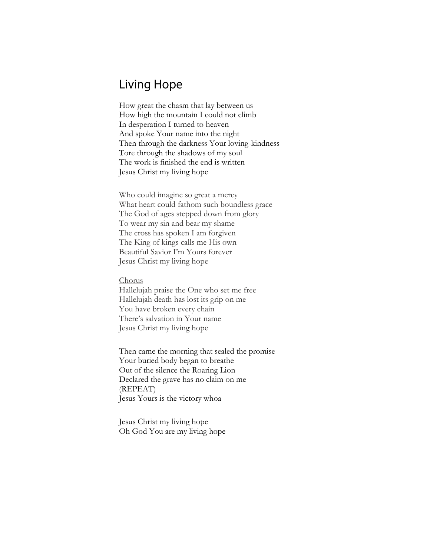## **Living Hope**

How great the chasm that lay between us How high the mountain I could not climb In desperation I turned to heaven And spoke Your name into the night Then through the darkness Your loving-kindness Tore through the shadows of my soul The work is finished the end is written Jesus Christ my living hope

Who could imagine so great a mercy What heart could fathom such boundless grace The God of ages stepped down from glory To wear my sin and bear my shame The cross has spoken I am forgiven The King of kings calls me His own Beautiful Savior I'm Yours forever Jesus Christ my living hope

#### Chorus

Hallelujah praise the One who set me free Hallelujah death has lost its grip on me You have broken every chain There's salvation in Your name Jesus Christ my living hope

Then came the morning that sealed the promise Your buried body began to breathe Out of the silence the Roaring Lion Declared the grave has no claim on me (REPEAT) Jesus Yours is the victory whoa

Jesus Christ my living hope Oh God You are my living hope